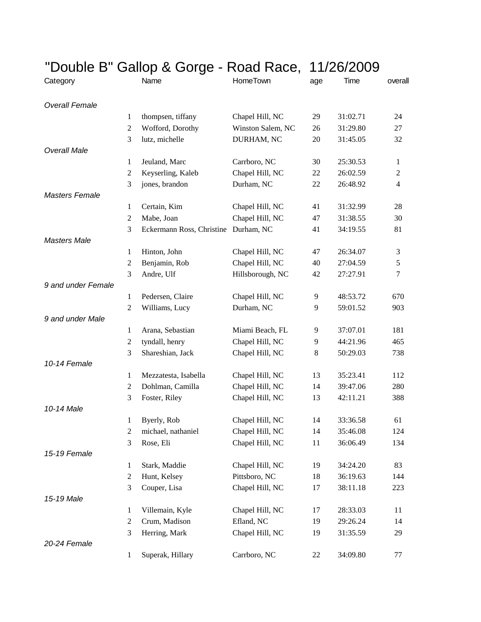| "Double B" Gallop & Gorge - Road Race, |                  |                                      |                   | 11/26/2009 |          |                  |
|----------------------------------------|------------------|--------------------------------------|-------------------|------------|----------|------------------|
| Category                               |                  | Name                                 | <b>HomeTown</b>   | age        | Time     | overall          |
| <b>Overall Female</b>                  |                  |                                      |                   |            |          |                  |
|                                        | 1                | thompsen, tiffany                    | Chapel Hill, NC   | 29         | 31:02.71 | 24               |
|                                        | $\boldsymbol{2}$ | Wofford, Dorothy                     | Winston Salem, NC | 26         | 31:29.80 | 27               |
|                                        | 3                | lutz, michelle                       | DURHAM, NC        | 20         | 31:45.05 | 32               |
| <b>Overall Male</b>                    |                  |                                      |                   |            |          |                  |
|                                        | 1                | Jeuland, Marc                        | Carrboro, NC      | 30         | 25:30.53 | 1                |
|                                        | $\boldsymbol{2}$ | Keyserling, Kaleb                    | Chapel Hill, NC   | 22         | 26:02.59 | $\boldsymbol{2}$ |
|                                        | 3                | jones, brandon                       | Durham, NC        | 22         | 26:48.92 | $\overline{4}$   |
| <b>Masters Female</b>                  |                  |                                      |                   |            |          |                  |
|                                        | $\mathbf{1}$     | Certain, Kim                         | Chapel Hill, NC   | 41         | 31:32.99 | 28               |
|                                        | $\boldsymbol{2}$ | Mabe, Joan                           | Chapel Hill, NC   | 47         | 31:38.55 | 30               |
|                                        | 3                | Eckermann Ross, Christine Durham, NC |                   | 41         | 34:19.55 | 81               |
| <b>Masters Male</b>                    |                  |                                      |                   |            |          |                  |
|                                        | 1                | Hinton, John                         | Chapel Hill, NC   | 47         | 26:34.07 | 3                |
|                                        | $\overline{2}$   | Benjamin, Rob                        | Chapel Hill, NC   | 40         | 27:04.59 | 5                |
|                                        | 3                | Andre, Ulf                           | Hillsborough, NC  | 42         | 27:27.91 | $\tau$           |
| 9 and under Female                     |                  |                                      |                   |            |          |                  |
|                                        | 1                | Pedersen, Claire                     | Chapel Hill, NC   | 9          | 48:53.72 | 670              |
|                                        | $\overline{2}$   | Williams, Lucy                       | Durham, NC        | 9          | 59:01.52 | 903              |
| 9 and under Male                       |                  |                                      |                   |            |          |                  |
|                                        | 1                | Arana, Sebastian                     | Miami Beach, FL   | 9          | 37:07.01 | 181              |
|                                        | $\overline{c}$   | tyndall, henry                       | Chapel Hill, NC   | 9          | 44:21.96 | 465              |
|                                        | 3                | Shareshian, Jack                     | Chapel Hill, NC   | 8          | 50:29.03 | 738              |
| 10-14 Female                           |                  |                                      |                   |            |          |                  |
|                                        | 1                | Mezzatesta, Isabella                 | Chapel Hill, NC   | 13         | 35:23.41 | 112              |
|                                        | $\overline{c}$   | Dohlman, Camilla                     | Chapel Hill, NC   | 14         | 39:47.06 | 280              |
|                                        | 3                | Foster, Riley                        | Chapel Hill, NC   | 13         | 42:11.21 | 388              |
| 10-14 Male                             |                  |                                      |                   |            |          |                  |
|                                        | 1                | Byerly, Rob                          | Chapel Hill, NC   | 14         | 33:36.58 | 61               |
|                                        | $\boldsymbol{2}$ | michael, nathaniel                   | Chapel Hill, NC   | 14         | 35:46.08 | 124              |
|                                        | 3                | Rose, Eli                            | Chapel Hill, NC   | 11         | 36:06.49 | 134              |
| 15-19 Female                           |                  |                                      |                   |            |          |                  |
|                                        | 1                | Stark, Maddie                        | Chapel Hill, NC   | 19         | 34:24.20 | 83               |
|                                        | $\overline{c}$   | Hunt, Kelsey                         | Pittsboro, NC     | 18         | 36:19.63 | 144              |
|                                        | 3                | Couper, Lisa                         | Chapel Hill, NC   | 17         | 38:11.18 | 223              |
| 15-19 Male                             |                  |                                      |                   |            |          |                  |
|                                        | 1                | Villemain, Kyle                      | Chapel Hill, NC   | 17         | 28:33.03 | 11               |
|                                        | $\overline{c}$   | Crum, Madison                        | Efland, NC        | 19         | 29:26.24 | 14               |
|                                        | 3                | Herring, Mark                        | Chapel Hill, NC   | 19         | 31:35.59 | 29               |
| 20-24 Female                           |                  |                                      |                   |            |          |                  |
|                                        | 1                | Superak, Hillary                     | Carrboro, NC      | 22         | 34:09.80 | 77               |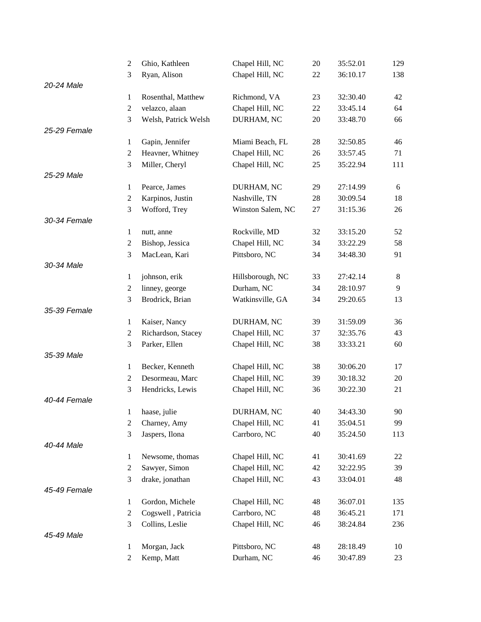|              | 2                | Ghio, Kathleen       | Chapel Hill, NC   | 20     | 35:52.01 | 129 |
|--------------|------------------|----------------------|-------------------|--------|----------|-----|
|              | 3                | Ryan, Alison         | Chapel Hill, NC   | 22     | 36:10.17 | 138 |
| 20-24 Male   |                  |                      |                   |        |          |     |
|              | $\mathbf{1}$     | Rosenthal, Matthew   | Richmond, VA      | 23     | 32:30.40 | 42  |
|              | $\boldsymbol{2}$ | velazco, alaan       | Chapel Hill, NC   | $22\,$ | 33:45.14 | 64  |
|              | 3                | Welsh, Patrick Welsh | DURHAM, NC        | 20     | 33:48.70 | 66  |
| 25-29 Female |                  |                      |                   |        |          |     |
|              | $\mathbf{1}$     | Gapin, Jennifer      | Miami Beach, FL   | 28     | 32:50.85 | 46  |
|              | $\boldsymbol{2}$ | Heavner, Whitney     | Chapel Hill, NC   | 26     | 33:57.45 | 71  |
|              | 3                | Miller, Cheryl       | Chapel Hill, NC   | 25     | 35:22.94 | 111 |
| 25-29 Male   |                  |                      |                   |        |          |     |
|              | $\mathbf{1}$     | Pearce, James        | DURHAM, NC        | 29     | 27:14.99 | 6   |
|              | $\boldsymbol{2}$ | Karpinos, Justin     | Nashville, TN     | 28     | 30:09.54 | 18  |
|              | 3                | Wofford, Trey        | Winston Salem, NC | 27     | 31:15.36 | 26  |
| 30-34 Female |                  |                      |                   |        |          |     |
|              | $\mathbf{1}$     | nutt, anne           | Rockville, MD     | 32     | 33:15.20 | 52  |
|              | $\boldsymbol{2}$ | Bishop, Jessica      | Chapel Hill, NC   | 34     | 33:22.29 | 58  |
|              | 3                | MacLean, Kari        | Pittsboro, NC     | 34     | 34:48.30 | 91  |
| 30-34 Male   |                  |                      |                   |        |          |     |
|              | $\mathbf{1}$     | johnson, erik        | Hillsborough, NC  | 33     | 27:42.14 | 8   |
|              | $\boldsymbol{2}$ | linney, george       | Durham, NC        | 34     | 28:10.97 | 9   |
|              | 3                | Brodrick, Brian      | Watkinsville, GA  | 34     | 29:20.65 | 13  |
| 35-39 Female |                  |                      |                   |        |          |     |
|              | $\mathbf{1}$     | Kaiser, Nancy        | DURHAM, NC        | 39     | 31:59.09 | 36  |
|              | $\overline{c}$   | Richardson, Stacey   | Chapel Hill, NC   | 37     | 32:35.76 | 43  |
|              | 3                | Parker, Ellen        | Chapel Hill, NC   | 38     | 33:33.21 | 60  |
| 35-39 Male   |                  |                      |                   |        |          |     |
|              | $\mathbf{1}$     | Becker, Kenneth      | Chapel Hill, NC   | 38     | 30:06.20 | 17  |
|              | $\boldsymbol{2}$ | Desormeau, Marc      | Chapel Hill, NC   | 39     | 30:18.32 | 20  |
|              | 3                | Hendricks, Lewis     | Chapel Hill, NC   | 36     | 30:22.30 | 21  |
| 40-44 Female |                  |                      |                   |        |          |     |
|              |                  | 1 haase, julie       | DURHAM, NC        | 40     | 34:43.30 | 90  |
|              | 2                | Charney, Amy         | Chapel Hill, NC   | 41     | 35:04.51 | 99  |
|              | 3                | Jaspers, Ilona       | Carrboro, NC      | 40     | 35:24.50 | 113 |
| 40-44 Male   |                  |                      |                   |        |          |     |
|              | $\mathbf{1}$     | Newsome, thomas      | Chapel Hill, NC   | 41     | 30:41.69 | 22  |
|              | $\boldsymbol{2}$ | Sawyer, Simon        | Chapel Hill, NC   | 42     | 32:22.95 | 39  |
|              | 3                | drake, jonathan      | Chapel Hill, NC   | 43     | 33:04.01 | 48  |
| 45-49 Female |                  |                      |                   |        |          |     |
|              | $\mathbf{1}$     | Gordon, Michele      | Chapel Hill, NC   | 48     | 36:07.01 | 135 |
|              | $\overline{c}$   | Cogswell, Patricia   | Carrboro, NC      | 48     | 36:45.21 | 171 |
|              | 3                | Collins, Leslie      | Chapel Hill, NC   | 46     | 38:24.84 | 236 |
| 45-49 Male   |                  |                      |                   |        |          |     |
|              | $\mathbf{1}$     | Morgan, Jack         | Pittsboro, NC     | 48     | 28:18.49 | 10  |
|              | $\overline{c}$   | Kemp, Matt           | Durham, NC        | 46     | 30:47.89 | 23  |